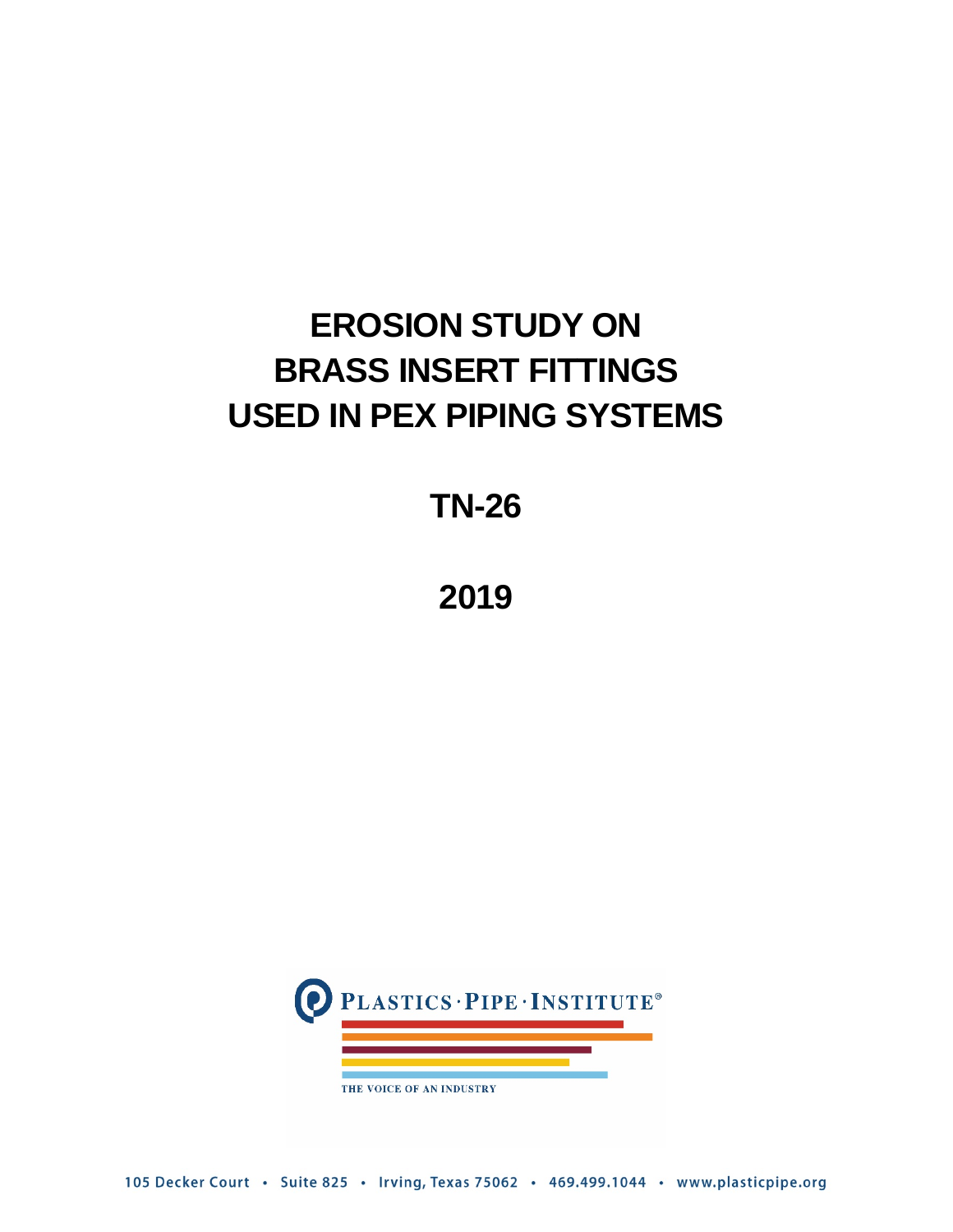# **EROSION STUDY ON BRASS INSERT FITTINGS USED IN PEX PIPING SYSTEMS**

**TN-26**

**2019**



105 Decker Court · Suite 825 · Irving, Texas 75062 · 469.499.1044 · www.plasticpipe.org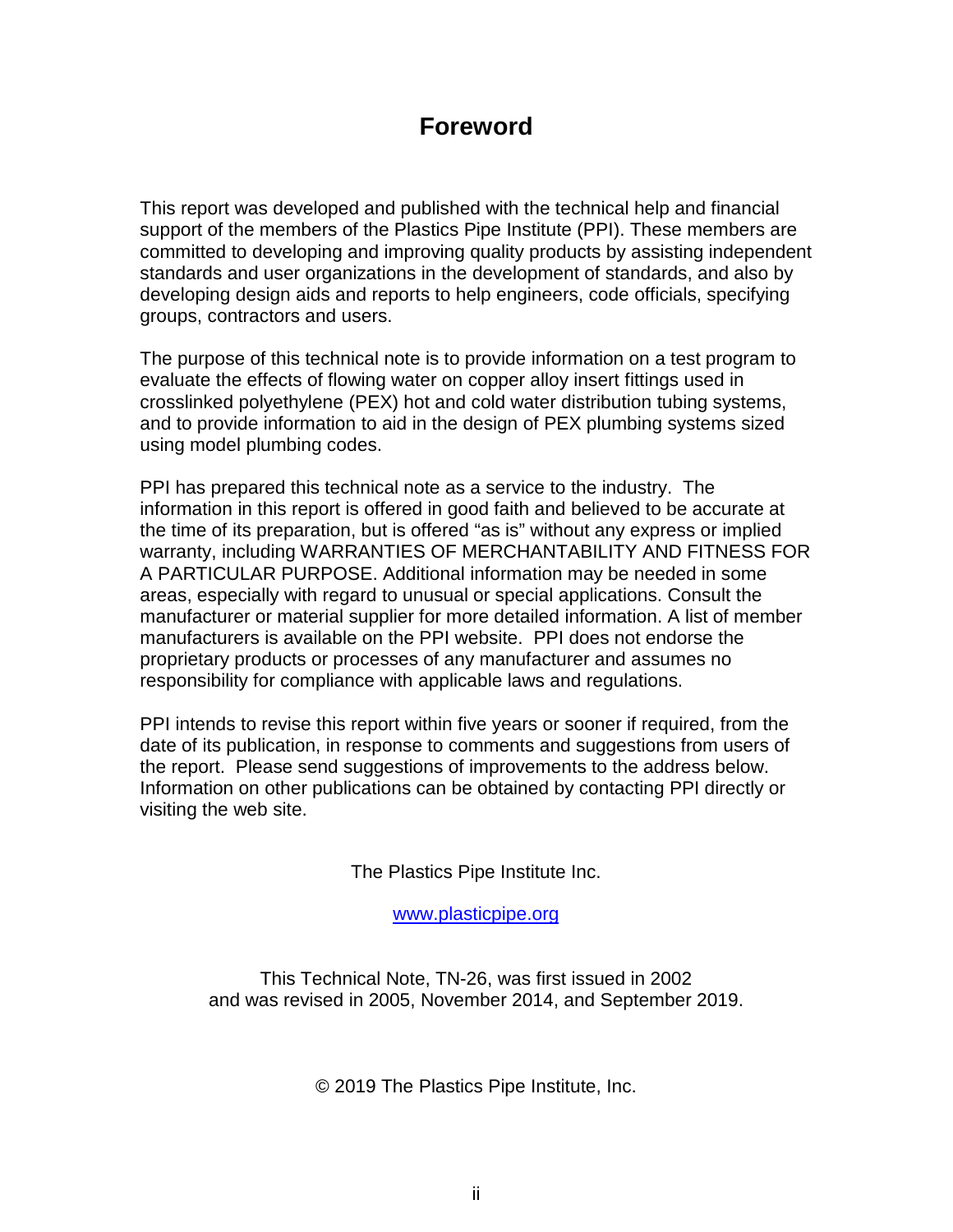## **Foreword**

This report was developed and published with the technical help and financial support of the members of the Plastics Pipe Institute (PPI). These members are committed to developing and improving quality products by assisting independent standards and user organizations in the development of standards, and also by developing design aids and reports to help engineers, code officials, specifying groups, contractors and users.

The purpose of this technical note is to provide information on a test program to evaluate the effects of flowing water on copper alloy insert fittings used in crosslinked polyethylene (PEX) hot and cold water distribution tubing systems, and to provide information to aid in the design of PEX plumbing systems sized using model plumbing codes.

PPI has prepared this technical note as a service to the industry. The information in this report is offered in good faith and believed to be accurate at the time of its preparation, but is offered "as is" without any express or implied warranty, including WARRANTIES OF MERCHANTABILITY AND FITNESS FOR A PARTICULAR PURPOSE. Additional information may be needed in some areas, especially with regard to unusual or special applications. Consult the manufacturer or material supplier for more detailed information. A list of member manufacturers is available on the PPI website. PPI does not endorse the proprietary products or processes of any manufacturer and assumes no responsibility for compliance with applicable laws and regulations.

PPI intends to revise this report within five years or sooner if required, from the date of its publication, in response to comments and suggestions from users of the report. Please send suggestions of improvements to the address below. Information on other publications can be obtained by contacting PPI directly or visiting the web site.

The Plastics Pipe Institute Inc.

[www.plasticpipe.org](https://www.plasticpipe.org/)

This Technical Note, TN-26, was first issued in 2002 and was revised in 2005, November 2014, and September 2019.

© 2019 The Plastics Pipe Institute, Inc.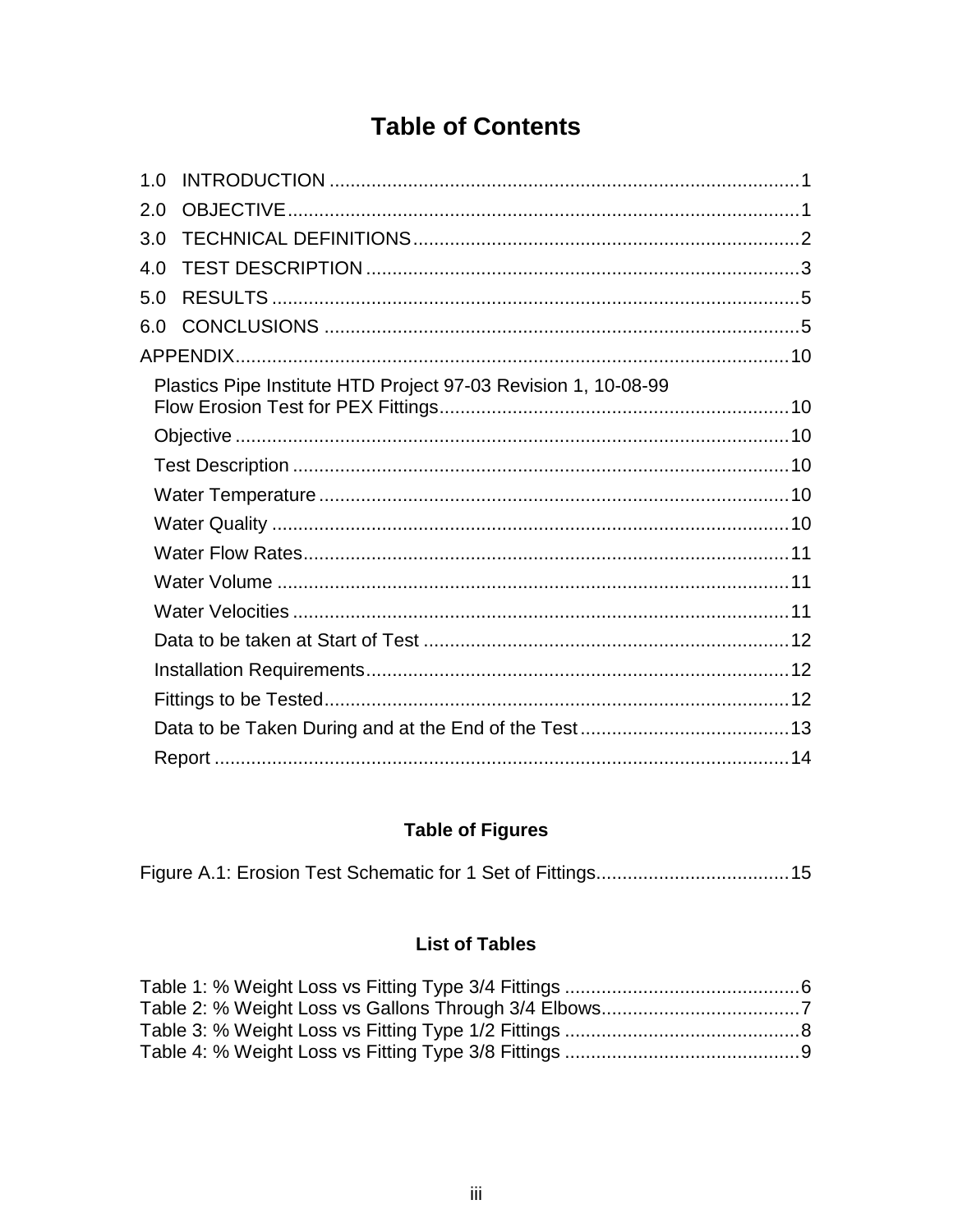## **Table of Contents**

| 1.0 |                                                                |  |
|-----|----------------------------------------------------------------|--|
| 2.0 |                                                                |  |
| 3.0 |                                                                |  |
| 4.0 |                                                                |  |
| 5.0 |                                                                |  |
| 6.0 |                                                                |  |
|     |                                                                |  |
|     | Plastics Pipe Institute HTD Project 97-03 Revision 1, 10-08-99 |  |
|     |                                                                |  |
|     |                                                                |  |
|     |                                                                |  |
|     |                                                                |  |
|     |                                                                |  |
|     |                                                                |  |
|     |                                                                |  |
|     |                                                                |  |
|     |                                                                |  |
|     |                                                                |  |
|     |                                                                |  |
|     |                                                                |  |

## **Table of Figures**

|--|--|--|

## **List of Tables**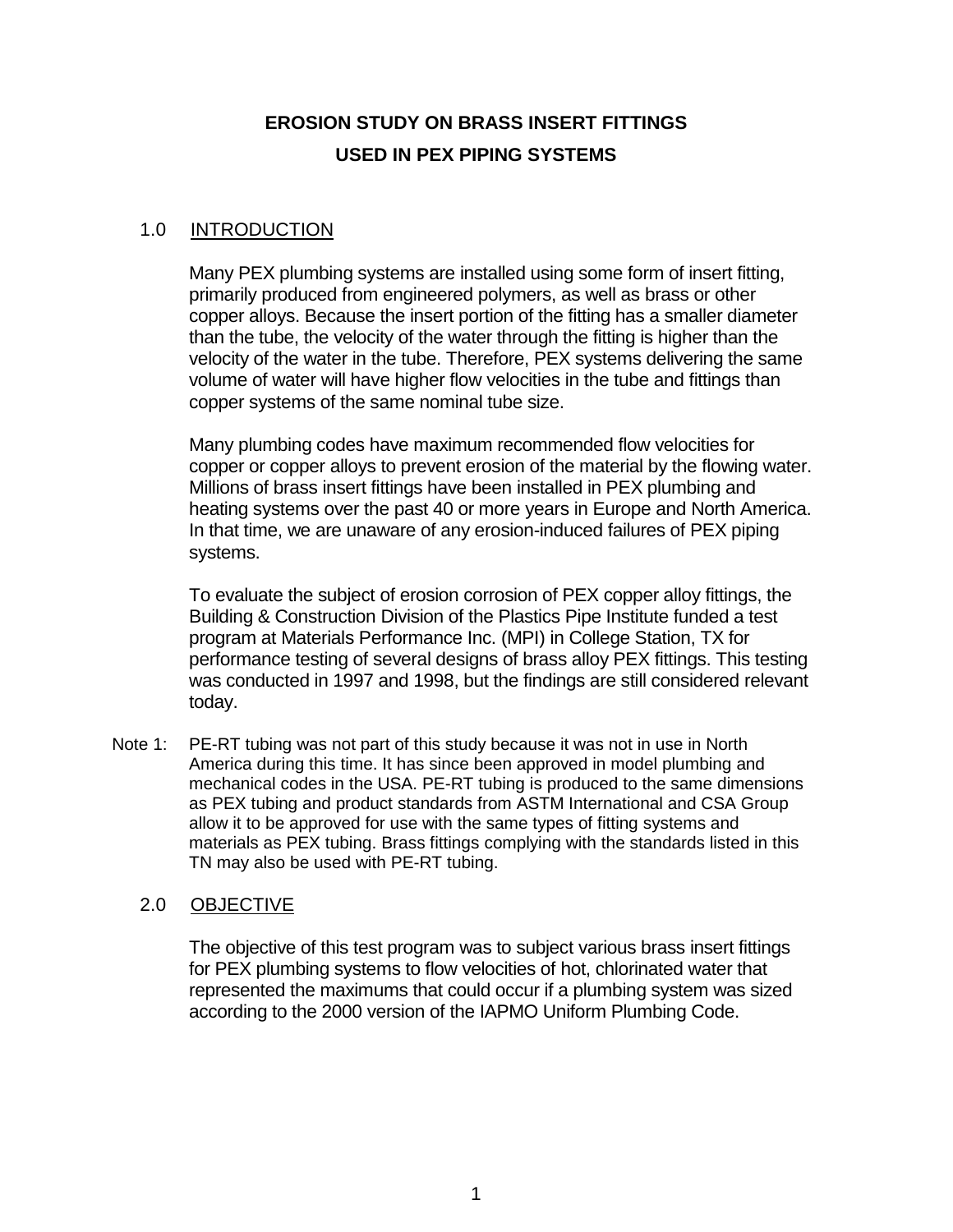## **EROSION STUDY ON BRASS INSERT FITTINGS USED IN PEX PIPING SYSTEMS**

#### <span id="page-3-0"></span>1.0 INTRODUCTION

Many PEX plumbing systems are installed using some form of insert fitting, primarily produced from engineered polymers, as well as brass or other copper alloys. Because the insert portion of the fitting has a smaller diameter than the tube, the velocity of the water through the fitting is higher than the velocity of the water in the tube. Therefore, PEX systems delivering the same volume of water will have higher flow velocities in the tube and fittings than copper systems of the same nominal tube size.

Many plumbing codes have maximum recommended flow velocities for copper or copper alloys to prevent erosion of the material by the flowing water. Millions of brass insert fittings have been installed in PEX plumbing and heating systems over the past 40 or more years in Europe and North America. In that time, we are unaware of any erosion-induced failures of PEX piping systems.

To evaluate the subject of erosion corrosion of PEX copper alloy fittings, the Building & Construction Division of the Plastics Pipe Institute funded a test program at Materials Performance Inc. (MPI) in College Station, TX for performance testing of several designs of brass alloy PEX fittings. This testing was conducted in 1997 and 1998, but the findings are still considered relevant today.

Note 1: PE-RT tubing was not part of this study because it was not in use in North America during this time. It has since been approved in model plumbing and mechanical codes in the USA. PE-RT tubing is produced to the same dimensions as PEX tubing and product standards from ASTM International and CSA Group allow it to be approved for use with the same types of fitting systems and materials as PEX tubing. Brass fittings complying with the standards listed in this TN may also be used with PE-RT tubing.

#### <span id="page-3-1"></span>2.0 OBJECTIVE

The objective of this test program was to subject various brass insert fittings for PEX plumbing systems to flow velocities of hot, chlorinated water that represented the maximums that could occur if a plumbing system was sized according to the 2000 version of the IAPMO Uniform Plumbing Code.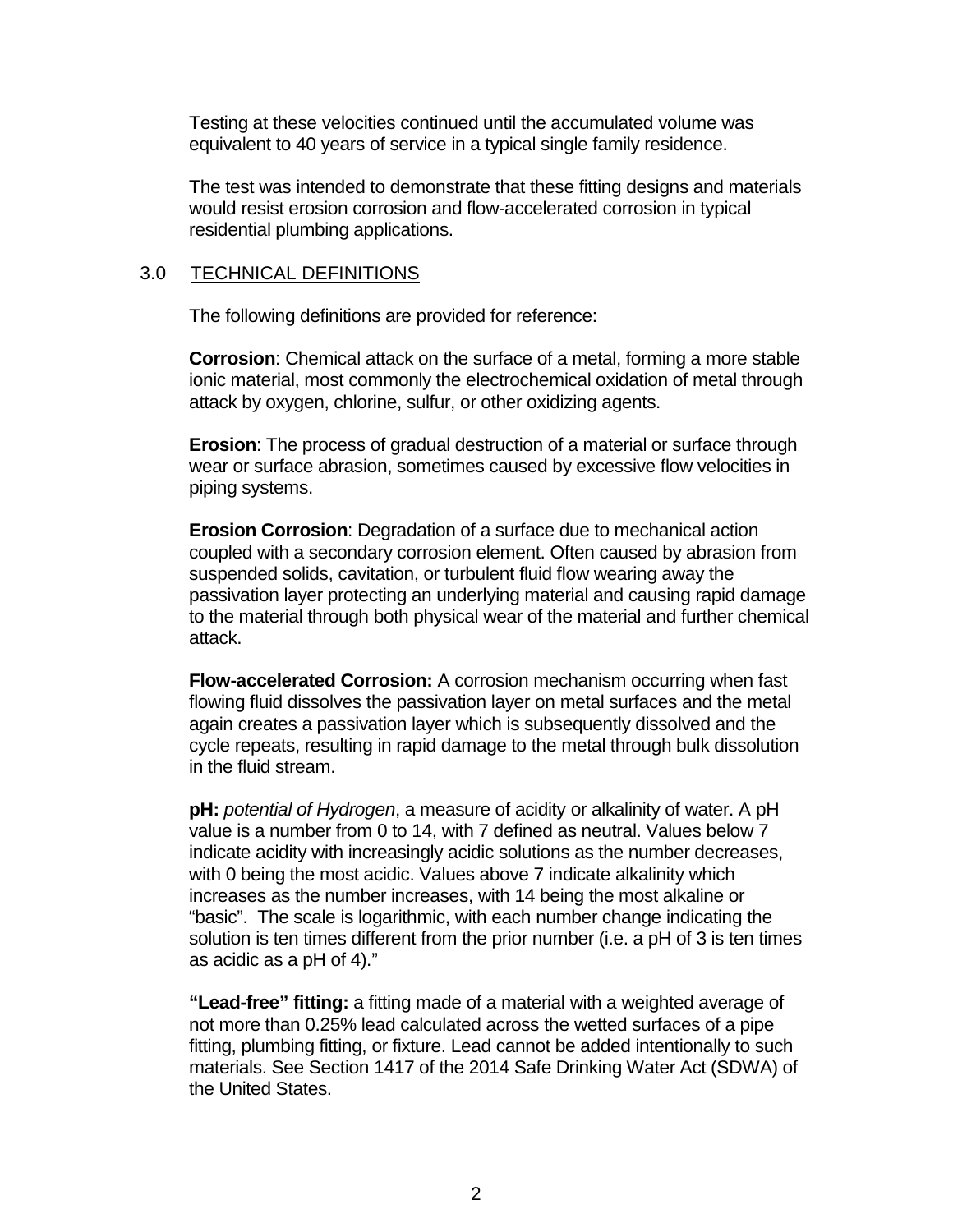Testing at these velocities continued until the accumulated volume was equivalent to 40 years of service in a typical single family residence.

The test was intended to demonstrate that these fitting designs and materials would resist erosion corrosion and flow-accelerated corrosion in typical residential plumbing applications.

#### <span id="page-4-0"></span>3.0 TECHNICAL DEFINITIONS

The following definitions are provided for reference:

**Corrosion**: Chemical attack on the surface of a metal, forming a more stable ionic material, most commonly the electrochemical oxidation of metal through attack by oxygen, chlorine, sulfur, or other oxidizing agents.

**Erosion**: The process of gradual destruction of a material or surface through wear or surface abrasion, sometimes caused by excessive flow velocities in piping systems.

**Erosion Corrosion**: Degradation of a surface due to mechanical action coupled with a secondary corrosion element. Often caused by abrasion from suspended solids, cavitation, or turbulent fluid flow wearing away the passivation layer protecting an underlying material and causing rapid damage to the material through both physical wear of the material and further chemical attack.

**Flow-accelerated Corrosion:** A corrosion mechanism occurring when fast flowing fluid dissolves the passivation layer on metal surfaces and the metal again creates a passivation layer which is subsequently dissolved and the cycle repeats, resulting in rapid damage to the metal through bulk dissolution in the fluid stream.

**pH:** *potential of Hydrogen*, a measure of acidity or alkalinity of water. A pH value is a number from 0 to 14, with 7 defined as neutral. Values below 7 indicate acidity with increasingly acidic solutions as the number decreases, with 0 being the most acidic. Values above 7 indicate alkalinity which increases as the number increases, with 14 being the most alkaline or "basic". The scale is logarithmic, with each number change indicating the solution is ten times different from the prior number (i.e. a pH of 3 is ten times as acidic as a pH of 4)."

**"Lead-free" fitting:** a fitting made of a material with a weighted average of not more than 0.25% lead calculated across the wetted surfaces of a pipe fitting, plumbing fitting, or fixture. Lead cannot be added intentionally to such materials. See Section 1417 of the 2014 Safe Drinking Water Act (SDWA) of the United States.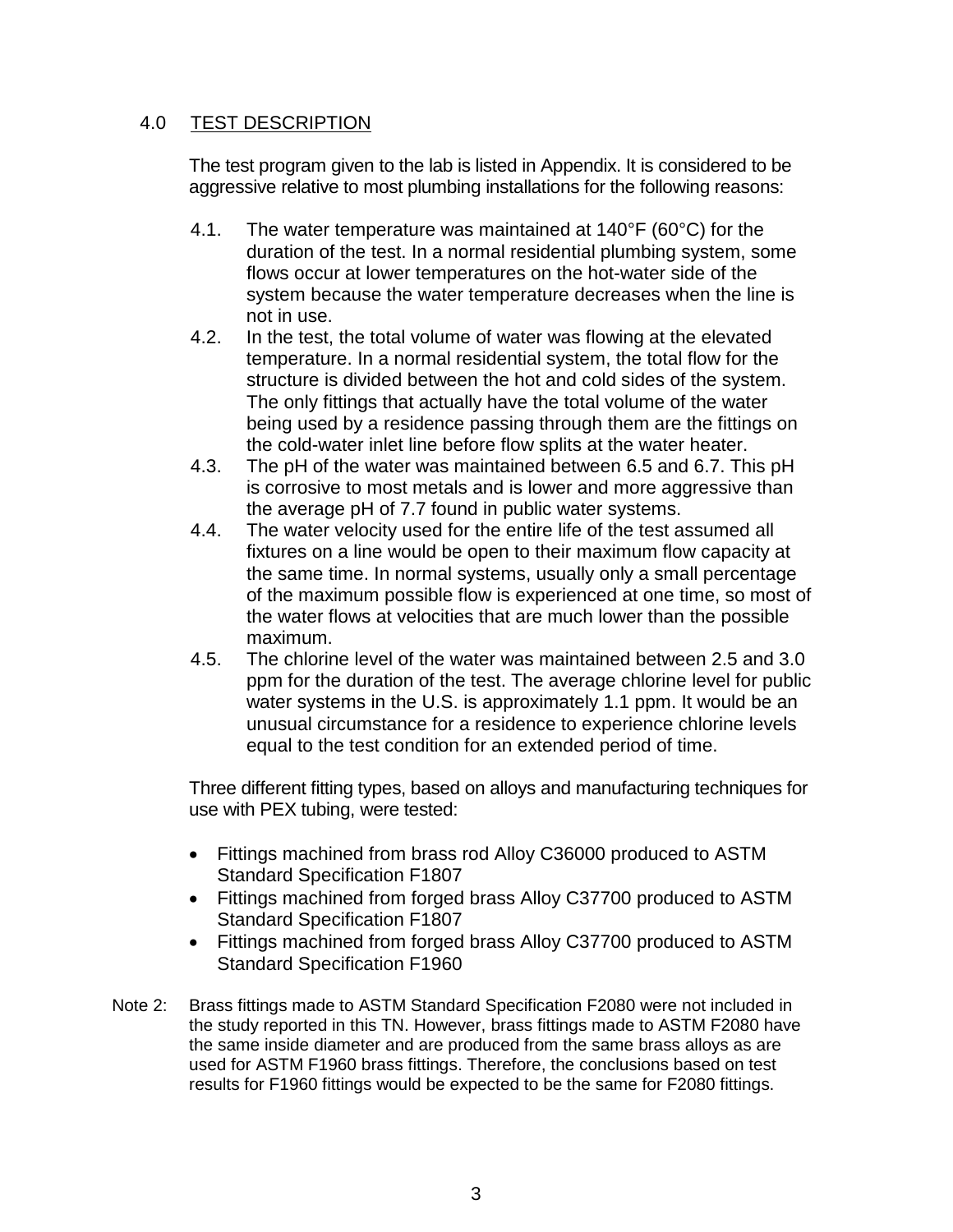#### <span id="page-5-0"></span>4.0 TEST DESCRIPTION

The test program given to the lab is listed in Appendix. It is considered to be aggressive relative to most plumbing installations for the following reasons:

- 4.1. The water temperature was maintained at 140°F (60°C) for the duration of the test. In a normal residential plumbing system, some flows occur at lower temperatures on the hot-water side of the system because the water temperature decreases when the line is not in use.
- 4.2. In the test, the total volume of water was flowing at the elevated temperature. In a normal residential system, the total flow for the structure is divided between the hot and cold sides of the system. The only fittings that actually have the total volume of the water being used by a residence passing through them are the fittings on the cold-water inlet line before flow splits at the water heater.
- 4.3. The pH of the water was maintained between 6.5 and 6.7. This pH is corrosive to most metals and is lower and more aggressive than the average pH of 7.7 found in public water systems.
- 4.4. The water velocity used for the entire life of the test assumed all fixtures on a line would be open to their maximum flow capacity at the same time. In normal systems, usually only a small percentage of the maximum possible flow is experienced at one time, so most of the water flows at velocities that are much lower than the possible maximum.
- 4.5. The chlorine level of the water was maintained between 2.5 and 3.0 ppm for the duration of the test. The average chlorine level for public water systems in the U.S. is approximately 1.1 ppm. It would be an unusual circumstance for a residence to experience chlorine levels equal to the test condition for an extended period of time.

Three different fitting types, based on alloys and manufacturing techniques for use with PEX tubing, were tested:

- Fittings machined from brass rod Alloy C36000 produced to ASTM Standard Specification F1807
- Fittings machined from forged brass Alloy C37700 produced to ASTM Standard Specification F1807
- Fittings machined from forged brass Alloy C37700 produced to ASTM Standard Specification F1960
- Note 2: Brass fittings made to ASTM Standard Specification F2080 were not included in the study reported in this TN. However, brass fittings made to ASTM F2080 have the same inside diameter and are produced from the same brass alloys as are used for ASTM F1960 brass fittings. Therefore, the conclusions based on test results for F1960 fittings would be expected to be the same for F2080 fittings.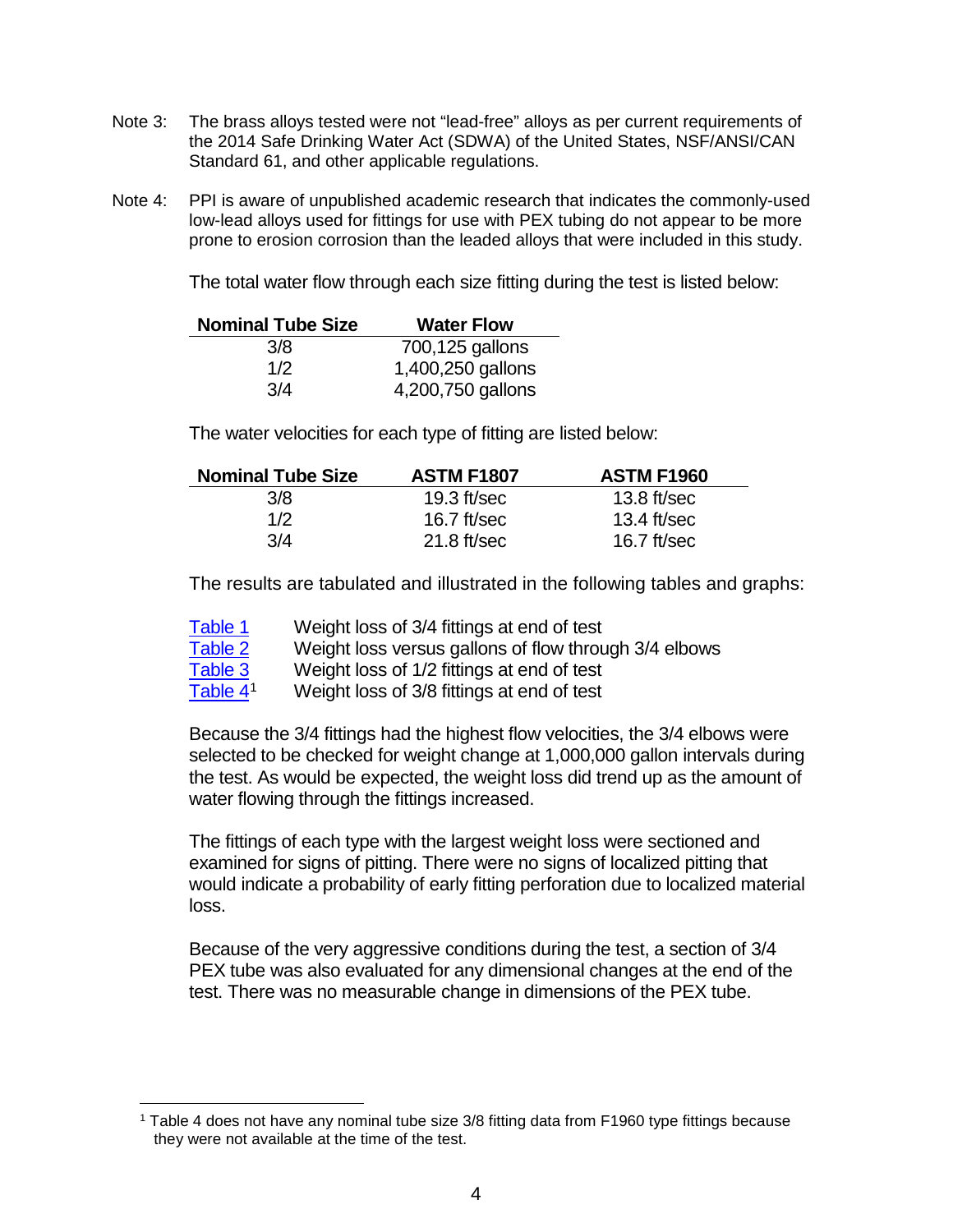- Note 3: The brass alloys tested were not "lead-free" alloys as per current requirements of the 2014 Safe Drinking Water Act (SDWA) of the United States, NSF/ANSI/CAN Standard 61, and other applicable regulations.
- Note 4: PPI is aware of unpublished academic research that indicates the commonly-used low-lead alloys used for fittings for use with PEX tubing do not appear to be more prone to erosion corrosion than the leaded alloys that were included in this study.

The total water flow through each size fitting during the test is listed below:

| <b>Nominal Tube Size</b> | <b>Water Flow</b> |
|--------------------------|-------------------|
| 3/8                      | 700,125 gallons   |
| 1/2                      | 1,400,250 gallons |
| 3/4                      | 4,200,750 gallons |

The water velocities for each type of fitting are listed below:

| <b>Nominal Tube Size</b> | <b>ASTM F1807</b> | <b>ASTM F1960</b> |
|--------------------------|-------------------|-------------------|
| 3/8                      | 19.3 $ft/sec$     | $13.8$ ft/sec     |
| 1/2                      | 16.7 ft/sec       | $13.4$ ft/sec     |
| 3/4                      | $21.8$ ft/sec     | 16.7 $ft/sec$     |

The results are tabulated and illustrated in the following tables and graphs:

| Table 1    | Weight loss of 3/4 fittings at end of test            |
|------------|-------------------------------------------------------|
| Table 2    | Weight loss versus gallons of flow through 3/4 elbows |
| Table 3    | Weight loss of 1/2 fittings at end of test            |
| Table $41$ | Weight loss of 3/8 fittings at end of test            |

Because the 3/4 fittings had the highest flow velocities, the 3/4 elbows were selected to be checked for weight change at 1,000,000 gallon intervals during the test. As would be expected, the weight loss did trend up as the amount of water flowing through the fittings increased.

The fittings of each type with the largest weight loss were sectioned and examined for signs of pitting. There were no signs of localized pitting that would indicate a probability of early fitting perforation due to localized material loss.

Because of the very aggressive conditions during the test, a section of 3/4 PEX tube was also evaluated for any dimensional changes at the end of the test. There was no measurable change in dimensions of the PEX tube.

<span id="page-6-0"></span> <sup>1</sup> Table 4 does not have any nominal tube size 3/8 fitting data from F1960 type fittings because they were not available at the time of the test.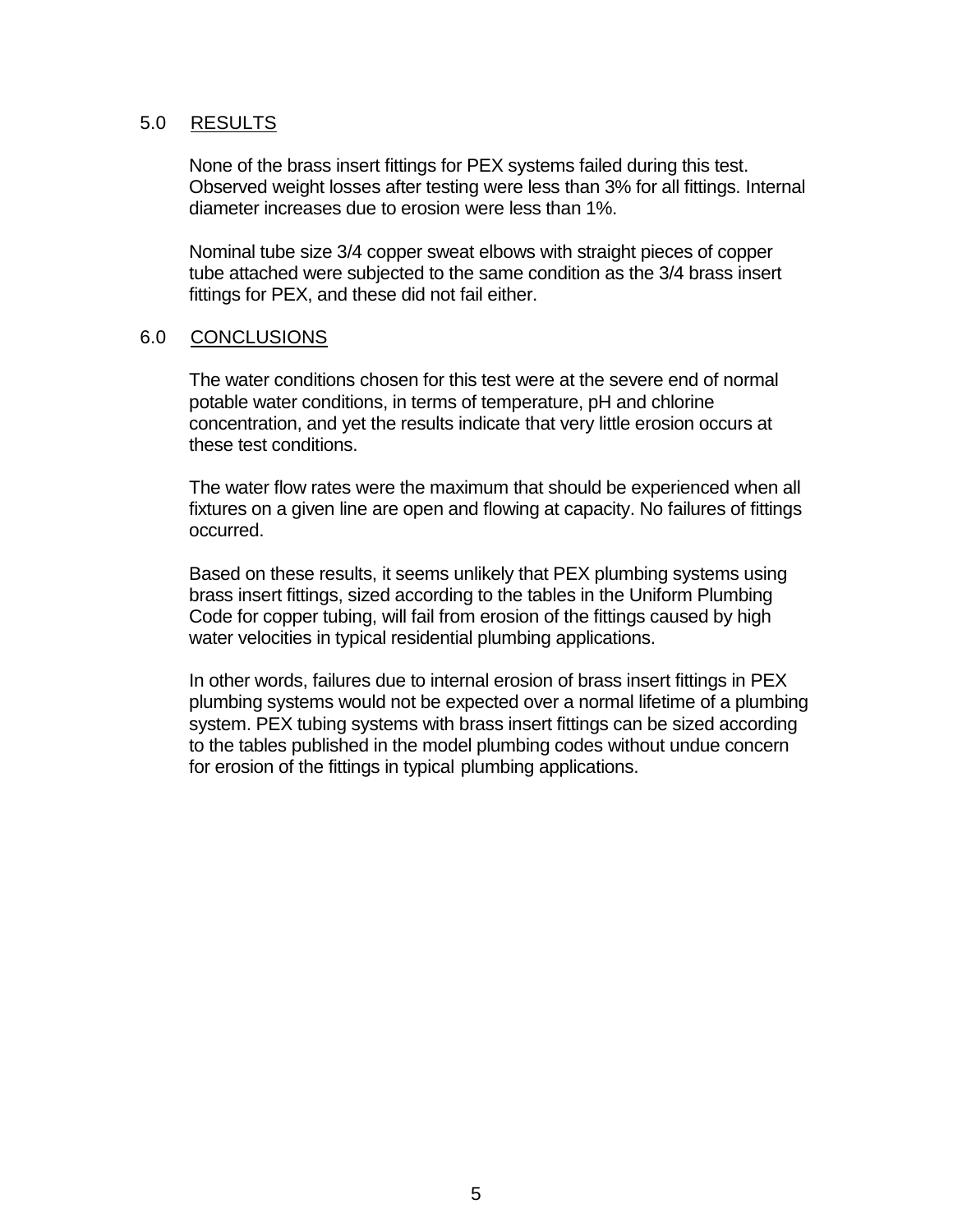#### <span id="page-7-0"></span>5.0 RESULTS

None of the brass insert fittings for PEX systems failed during this test. Observed weight losses after testing were less than 3% for all fittings. Internal diameter increases due to erosion were less than 1%.

Nominal tube size 3/4 copper sweat elbows with straight pieces of copper tube attached were subjected to the same condition as the 3/4 brass insert fittings for PEX, and these did not fail either.

#### <span id="page-7-1"></span>6.0 CONCLUSIONS

The water conditions chosen for this test were at the severe end of normal potable water conditions, in terms of temperature, pH and chlorine concentration, and yet the results indicate that very little erosion occurs at these test conditions.

The water flow rates were the maximum that should be experienced when all fixtures on a given line are open and flowing at capacity. No failures of fittings occurred.

Based on these results, it seems unlikely that PEX plumbing systems using brass insert fittings, sized according to the tables in the Uniform Plumbing Code for copper tubing, will fail from erosion of the fittings caused by high water velocities in typical residential plumbing applications.

In other words, failures due to internal erosion of brass insert fittings in PEX plumbing systems would not be expected over a normal lifetime of a plumbing system. PEX tubing systems with brass insert fittings can be sized according to the tables published in the model plumbing codes without undue concern for erosion of the fittings in typical plumbing applications.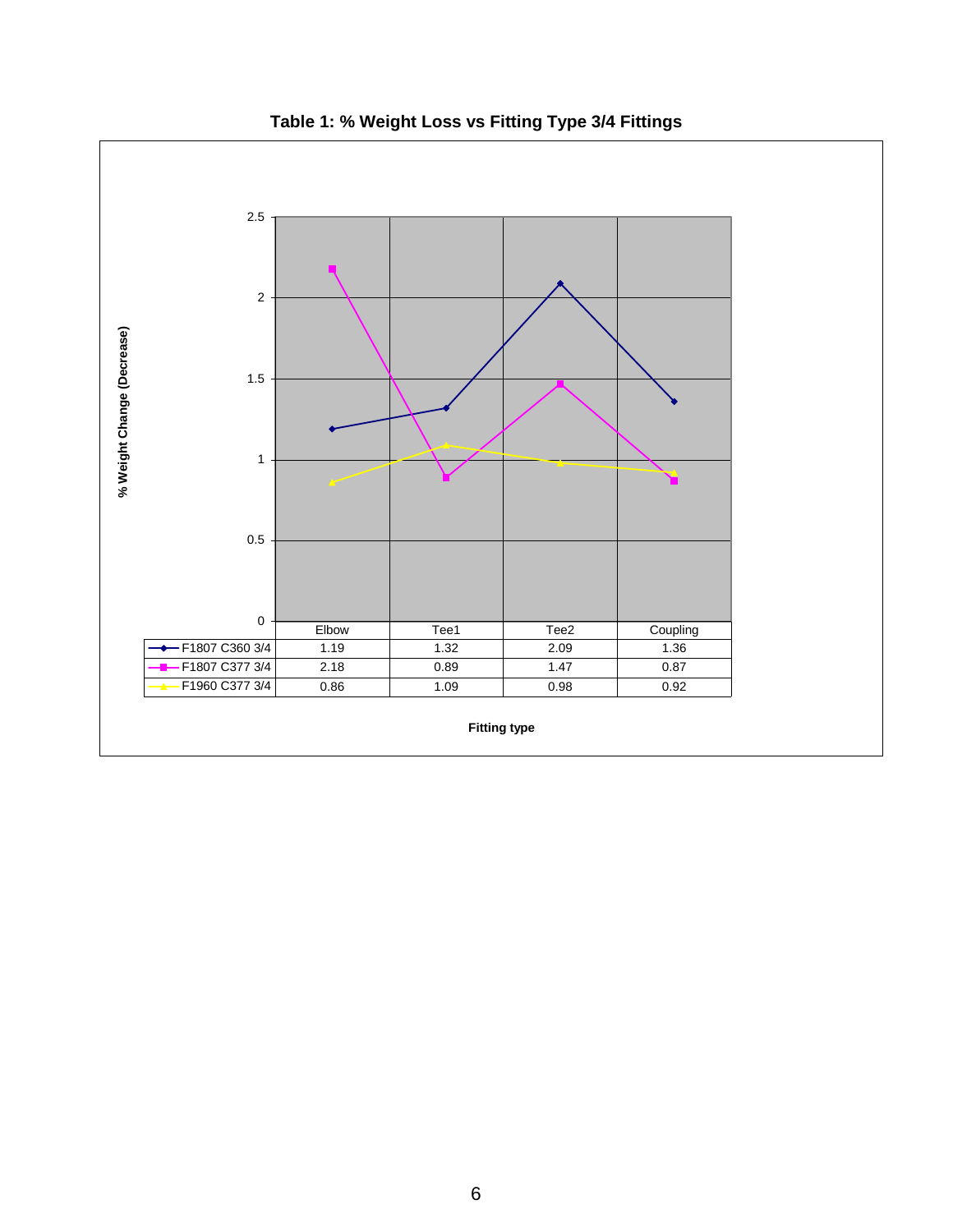<span id="page-8-0"></span>

**Table 1: % Weight Loss vs Fitting Type 3/4 Fittings**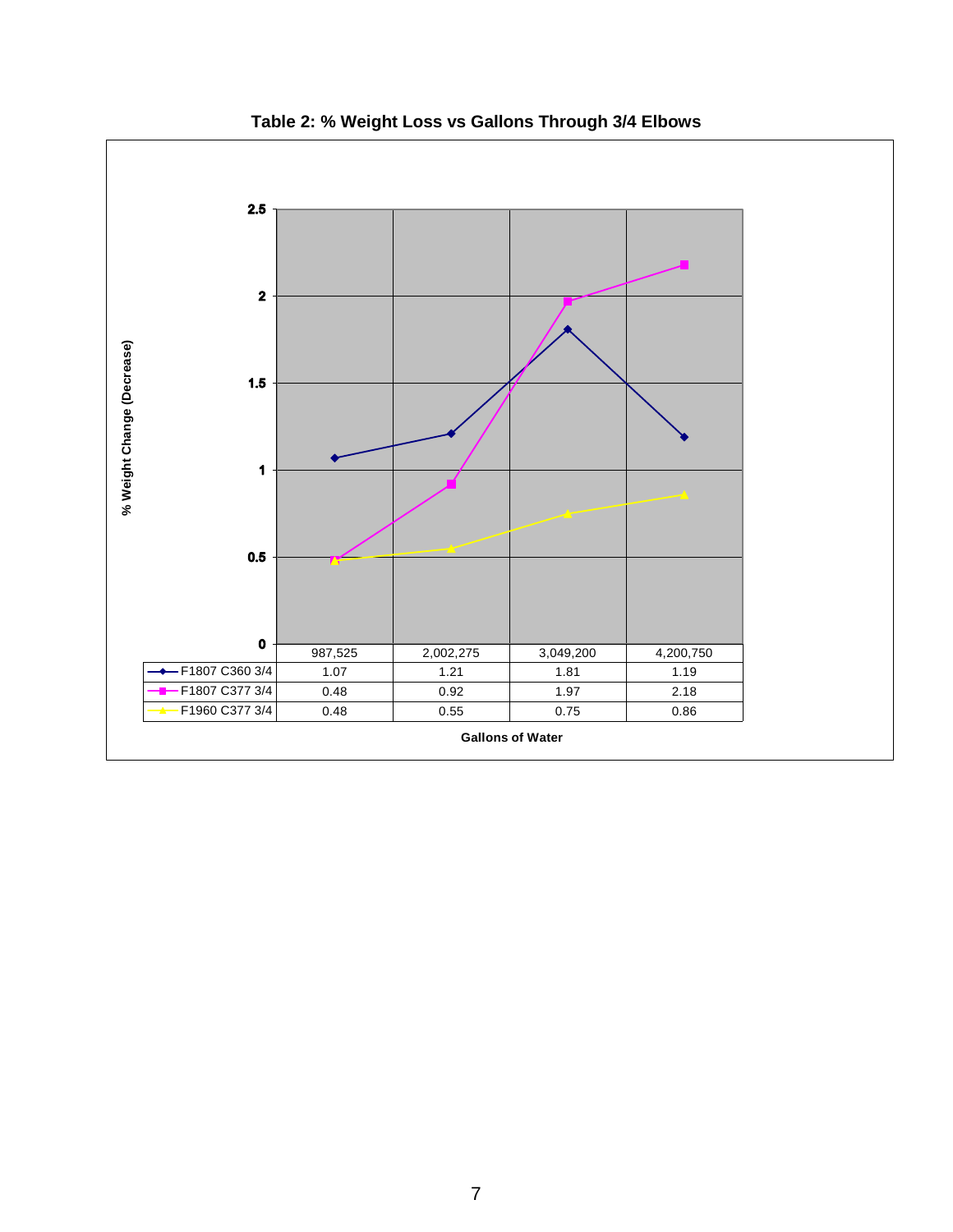<span id="page-9-0"></span>

**Table 2: % Weight Loss vs Gallons Through 3/4 Elbows**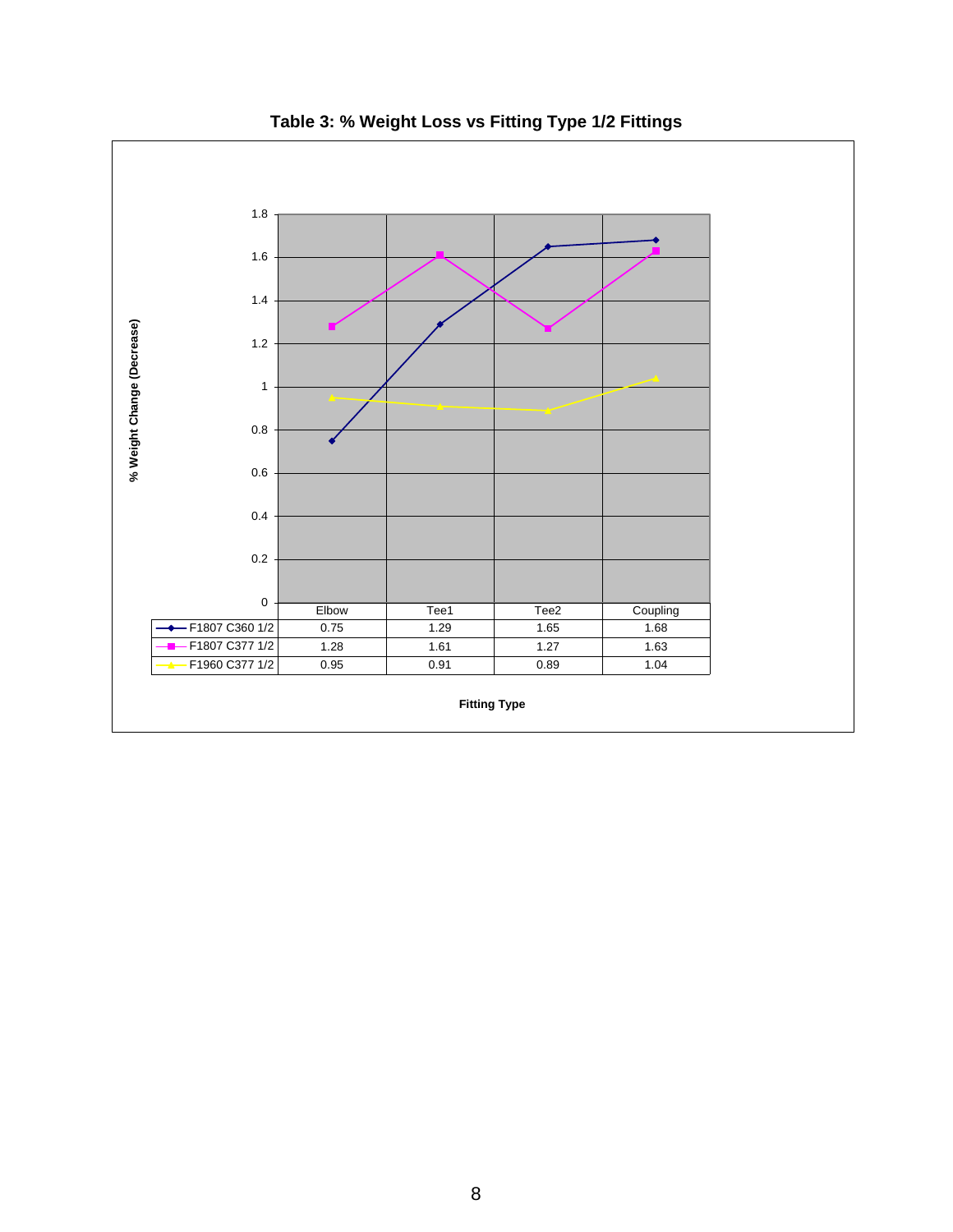<span id="page-10-0"></span>

**Table 3: % Weight Loss vs Fitting Type 1/2 Fittings**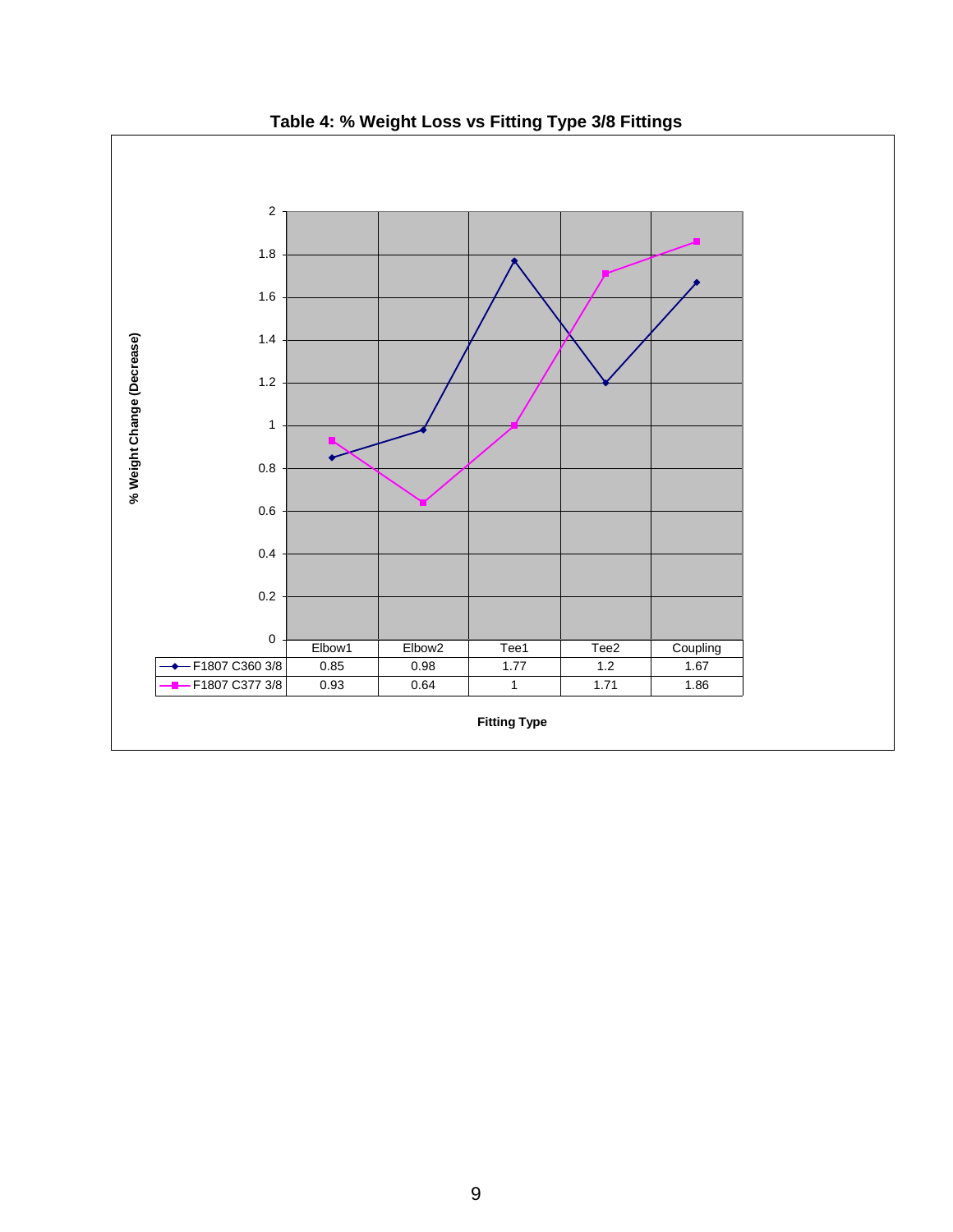<span id="page-11-0"></span>

**Table 4: % Weight Loss vs Fitting Type 3/8 Fittings**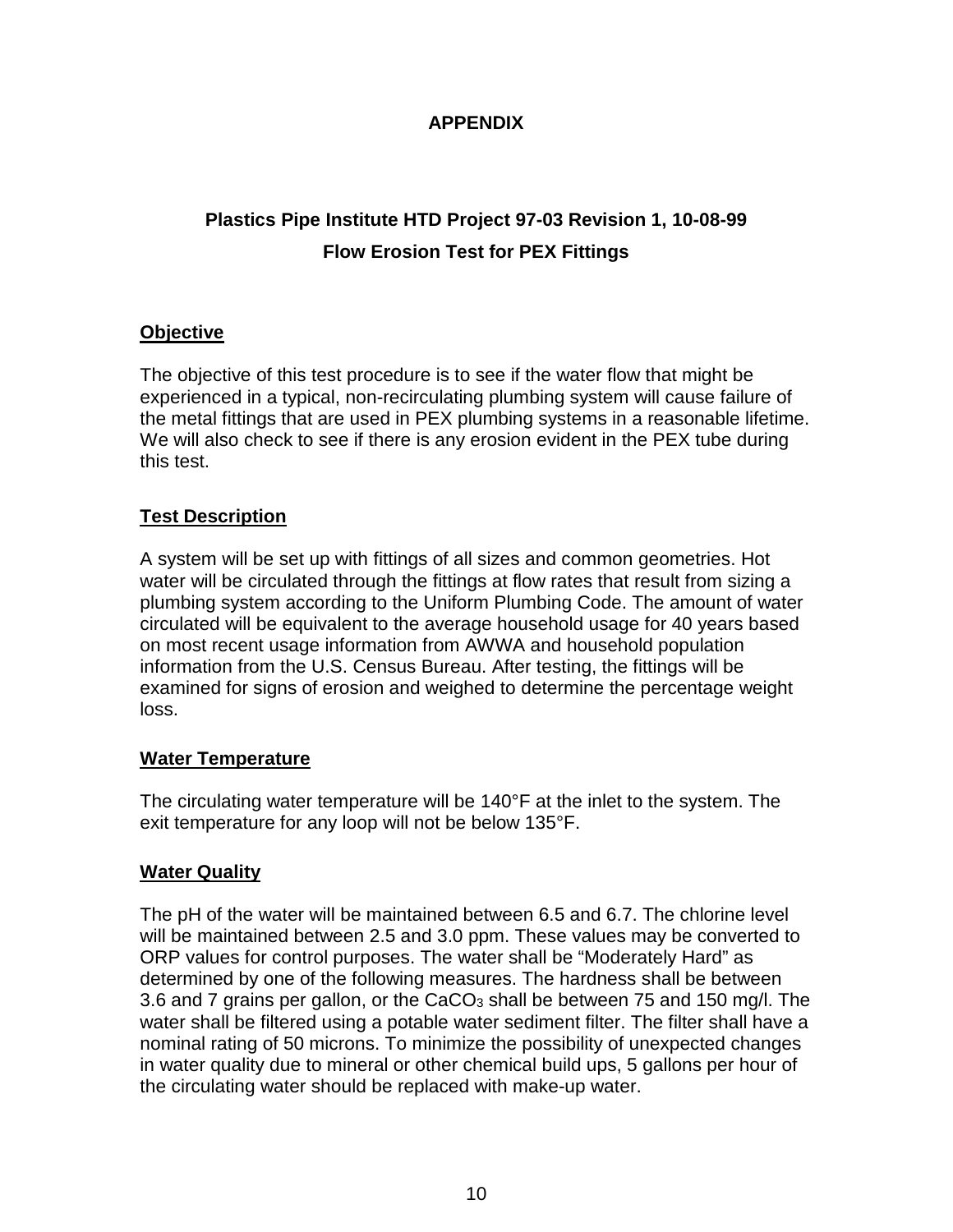#### **APPENDIX**

## <span id="page-12-1"></span><span id="page-12-0"></span>**Plastics Pipe Institute HTD Project 97-03 Revision 1, 10-08-99 Flow Erosion Test for PEX Fittings**

#### <span id="page-12-2"></span>**Objective**

The objective of this test procedure is to see if the water flow that might be experienced in a typical, non-recirculating plumbing system will cause failure of the metal fittings that are used in PEX plumbing systems in a reasonable lifetime. We will also check to see if there is any erosion evident in the PEX tube during this test.

#### <span id="page-12-3"></span>**Test Description**

A system will be set up with fittings of all sizes and common geometries. Hot water will be circulated through the fittings at flow rates that result from sizing a plumbing system according to the Uniform Plumbing Code. The amount of water circulated will be equivalent to the average household usage for 40 years based on most recent usage information from AWWA and household population information from the U.S. Census Bureau. After testing, the fittings will be examined for signs of erosion and weighed to determine the percentage weight loss.

#### <span id="page-12-4"></span>**Water Temperature**

The circulating water temperature will be 140°F at the inlet to the system. The exit temperature for any loop will not be below 135°F.

#### <span id="page-12-5"></span>**Water Quality**

The pH of the water will be maintained between 6.5 and 6.7. The chlorine level will be maintained between 2.5 and 3.0 ppm. These values may be converted to ORP values for control purposes. The water shall be "Moderately Hard" as determined by one of the following measures. The hardness shall be between 3.6 and 7 grains per gallon, or the CaCO<sub>3</sub> shall be between 75 and 150 mg/l. The water shall be filtered using a potable water sediment filter. The filter shall have a nominal rating of 50 microns. To minimize the possibility of unexpected changes in water quality due to mineral or other chemical build ups, 5 gallons per hour of the circulating water should be replaced with make-up water.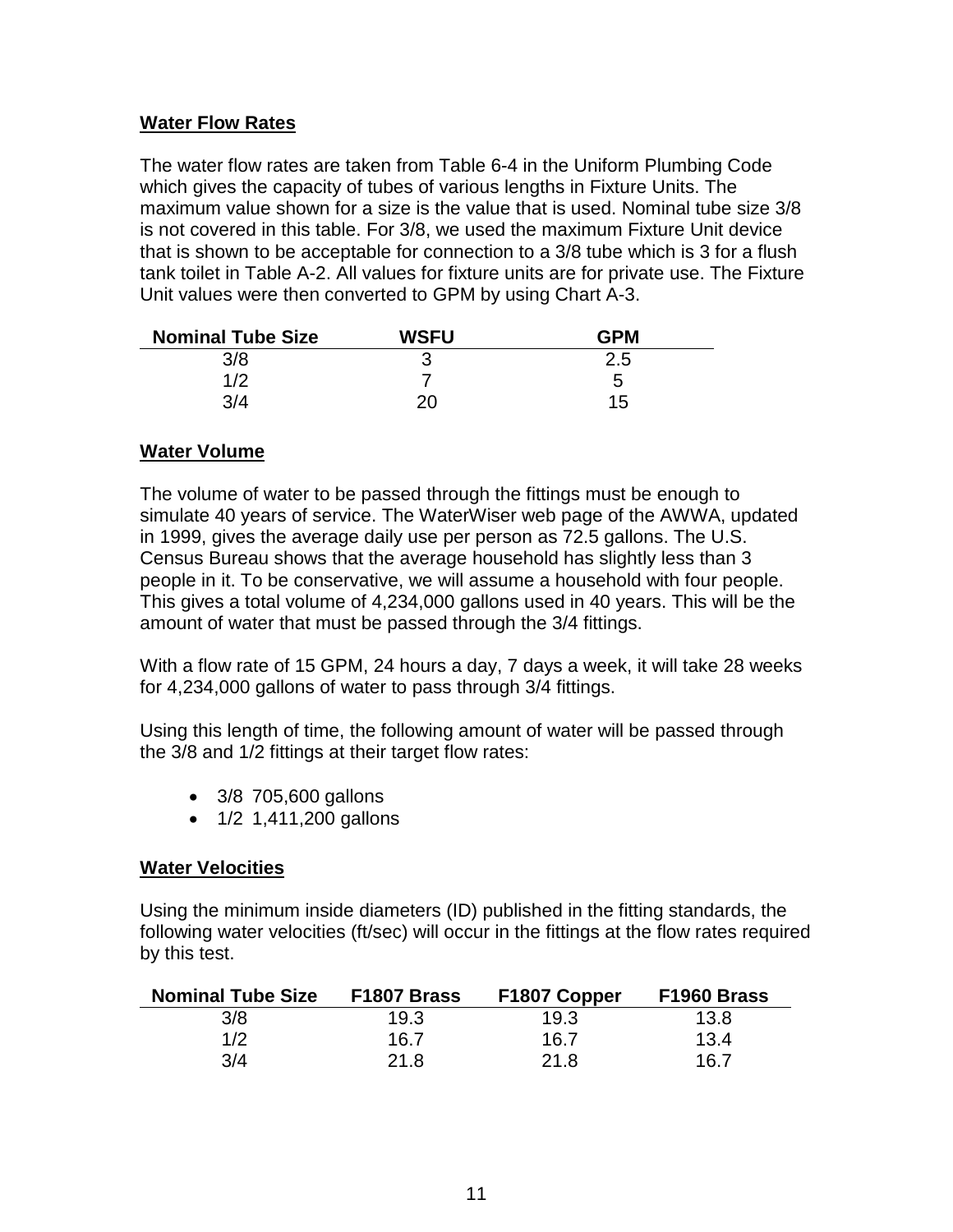#### <span id="page-13-0"></span>**Water Flow Rates**

The water flow rates are taken from Table 6-4 in the Uniform Plumbing Code which gives the capacity of tubes of various lengths in Fixture Units. The maximum value shown for a size is the value that is used. Nominal tube size 3/8 is not covered in this table. For 3/8, we used the maximum Fixture Unit device that is shown to be acceptable for connection to a 3/8 tube which is 3 for a flush tank toilet in Table A-2. All values for fixture units are for private use. The Fixture Unit values were then converted to GPM by using Chart A-3.

| <b>Nominal Tube Size</b> | <b>WSFU</b> | <b>GPM</b> |
|--------------------------|-------------|------------|
| 3/8                      |             | 2.5        |
| 1/2                      |             | 5          |
| 3/4                      | 20          | 15         |

#### <span id="page-13-1"></span>**Water Volume**

The volume of water to be passed through the fittings must be enough to simulate 40 years of service. The WaterWiser web page of the AWWA, updated in 1999, gives the average daily use per person as 72.5 gallons. The U.S. Census Bureau shows that the average household has slightly less than 3 people in it. To be conservative, we will assume a household with four people. This gives a total volume of 4,234,000 gallons used in 40 years. This will be the amount of water that must be passed through the 3/4 fittings.

With a flow rate of 15 GPM, 24 hours a day, 7 days a week, it will take 28 weeks for 4,234,000 gallons of water to pass through 3/4 fittings.

Using this length of time, the following amount of water will be passed through the 3/8 and 1/2 fittings at their target flow rates:

- 3/8 705,600 gallons
- 1/2 1,411,200 gallons

#### <span id="page-13-2"></span>**Water Velocities**

Using the minimum inside diameters (ID) published in the fitting standards, the following water velocities (ft/sec) will occur in the fittings at the flow rates required by this test.

| <b>Nominal Tube Size</b> | F1807 Brass | F1807 Copper | F1960 Brass |
|--------------------------|-------------|--------------|-------------|
| 3/8                      | 19.3        | 19.3         | 13.8        |
| 1/2                      | 16.7        | 16.7         | 13.4        |
| 3/4                      | 21.8        | 21.8         | 16.7        |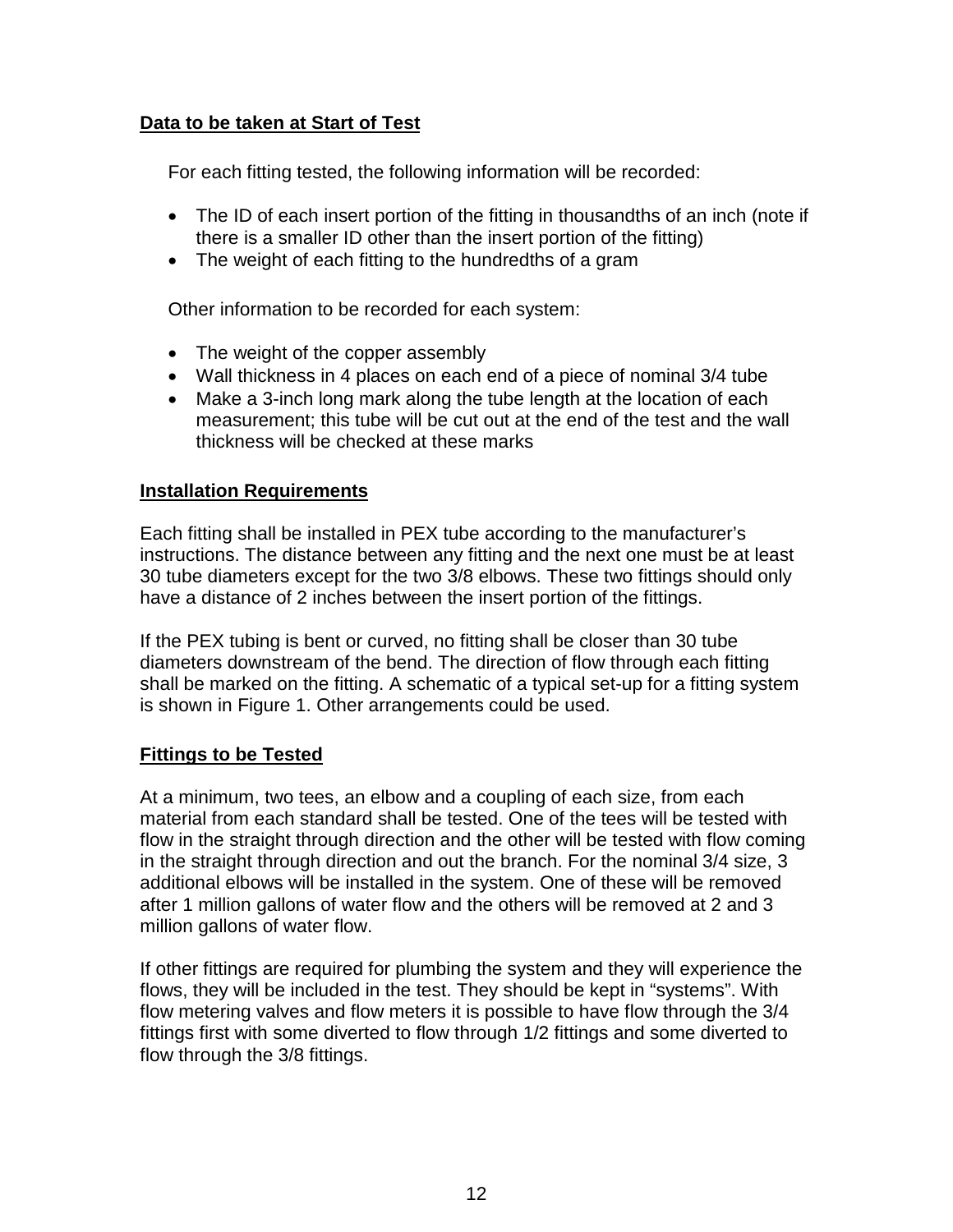#### <span id="page-14-0"></span>**Data to be taken at Start of Test**

For each fitting tested, the following information will be recorded:

- The ID of each insert portion of the fitting in thousandths of an inch (note if there is a smaller ID other than the insert portion of the fitting)
- The weight of each fitting to the hundredths of a gram

Other information to be recorded for each system:

- The weight of the copper assembly
- Wall thickness in 4 places on each end of a piece of nominal 3/4 tube
- Make a 3-inch long mark along the tube length at the location of each measurement; this tube will be cut out at the end of the test and the wall thickness will be checked at these marks

#### <span id="page-14-1"></span>**Installation Requirements**

Each fitting shall be installed in PEX tube according to the manufacturer's instructions. The distance between any fitting and the next one must be at least 30 tube diameters except for the two 3/8 elbows. These two fittings should only have a distance of 2 inches between the insert portion of the fittings.

If the PEX tubing is bent or curved, no fitting shall be closer than 30 tube diameters downstream of the bend. The direction of flow through each fitting shall be marked on the fitting. A schematic of a typical set-up for a fitting system is shown in Figure 1. Other arrangements could be used.

#### <span id="page-14-2"></span>**Fittings to be Tested**

At a minimum, two tees, an elbow and a coupling of each size, from each material from each standard shall be tested. One of the tees will be tested with flow in the straight through direction and the other will be tested with flow coming in the straight through direction and out the branch. For the nominal 3/4 size, 3 additional elbows will be installed in the system. One of these will be removed after 1 million gallons of water flow and the others will be removed at 2 and 3 million gallons of water flow.

If other fittings are required for plumbing the system and they will experience the flows, they will be included in the test. They should be kept in "systems". With flow metering valves and flow meters it is possible to have flow through the 3/4 fittings first with some diverted to flow through 1/2 fittings and some diverted to flow through the 3/8 fittings.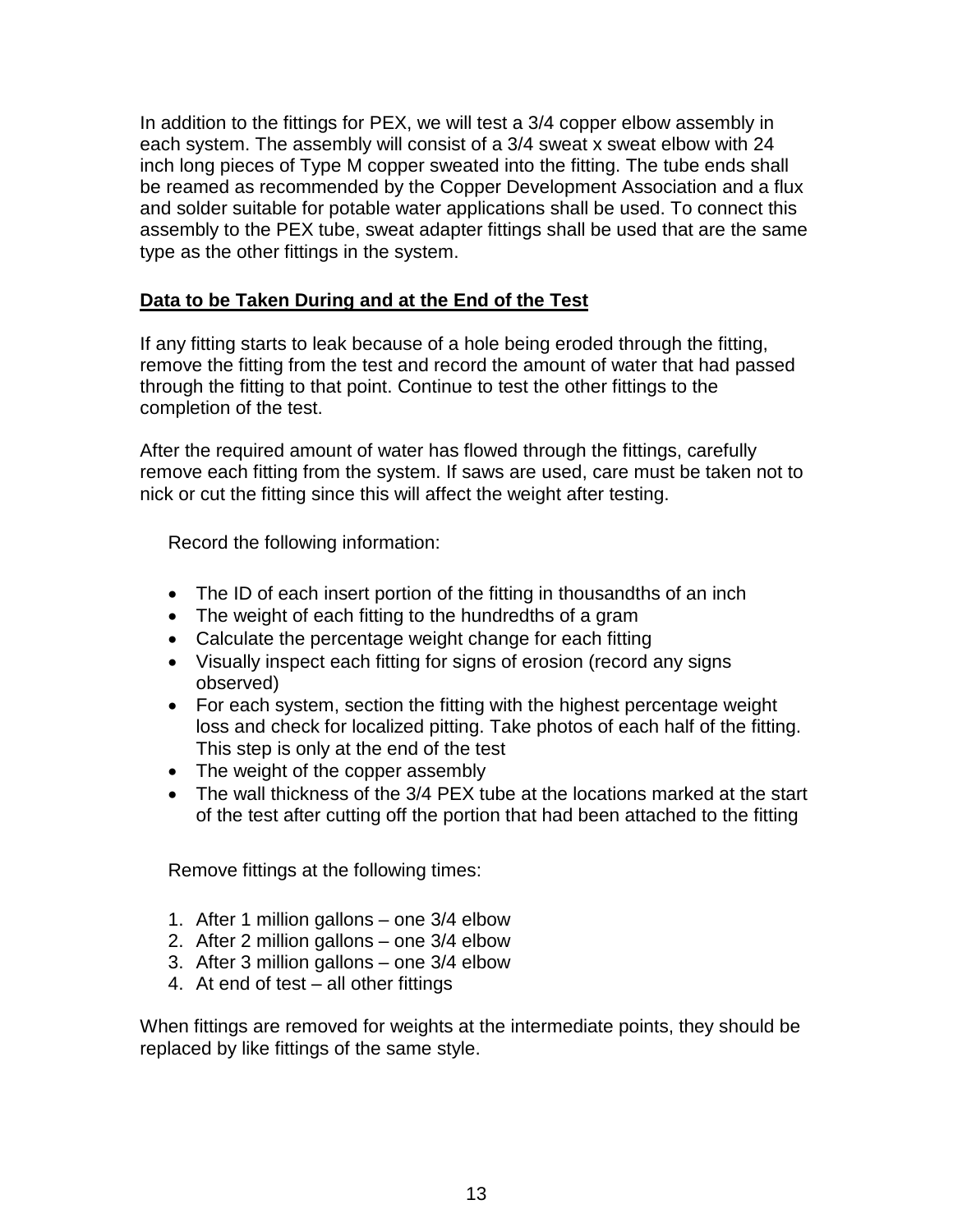In addition to the fittings for PEX, we will test a 3/4 copper elbow assembly in each system. The assembly will consist of a 3/4 sweat x sweat elbow with 24 inch long pieces of Type M copper sweated into the fitting. The tube ends shall be reamed as recommended by the Copper Development Association and a flux and solder suitable for potable water applications shall be used. To connect this assembly to the PEX tube, sweat adapter fittings shall be used that are the same type as the other fittings in the system.

#### <span id="page-15-0"></span>**Data to be Taken During and at the End of the Test**

If any fitting starts to leak because of a hole being eroded through the fitting, remove the fitting from the test and record the amount of water that had passed through the fitting to that point. Continue to test the other fittings to the completion of the test.

After the required amount of water has flowed through the fittings, carefully remove each fitting from the system. If saws are used, care must be taken not to nick or cut the fitting since this will affect the weight after testing.

Record the following information:

- The ID of each insert portion of the fitting in thousandths of an inch
- The weight of each fitting to the hundredths of a gram
- Calculate the percentage weight change for each fitting
- Visually inspect each fitting for signs of erosion (record any signs observed)
- For each system, section the fitting with the highest percentage weight loss and check for localized pitting. Take photos of each half of the fitting. This step is only at the end of the test
- The weight of the copper assembly
- The wall thickness of the 3/4 PEX tube at the locations marked at the start of the test after cutting off the portion that had been attached to the fitting

Remove fittings at the following times:

- 1. After 1 million gallons one 3/4 elbow
- 2. After 2 million gallons one 3/4 elbow
- 3. After 3 million gallons one 3/4 elbow
- 4. At end of test all other fittings

When fittings are removed for weights at the intermediate points, they should be replaced by like fittings of the same style.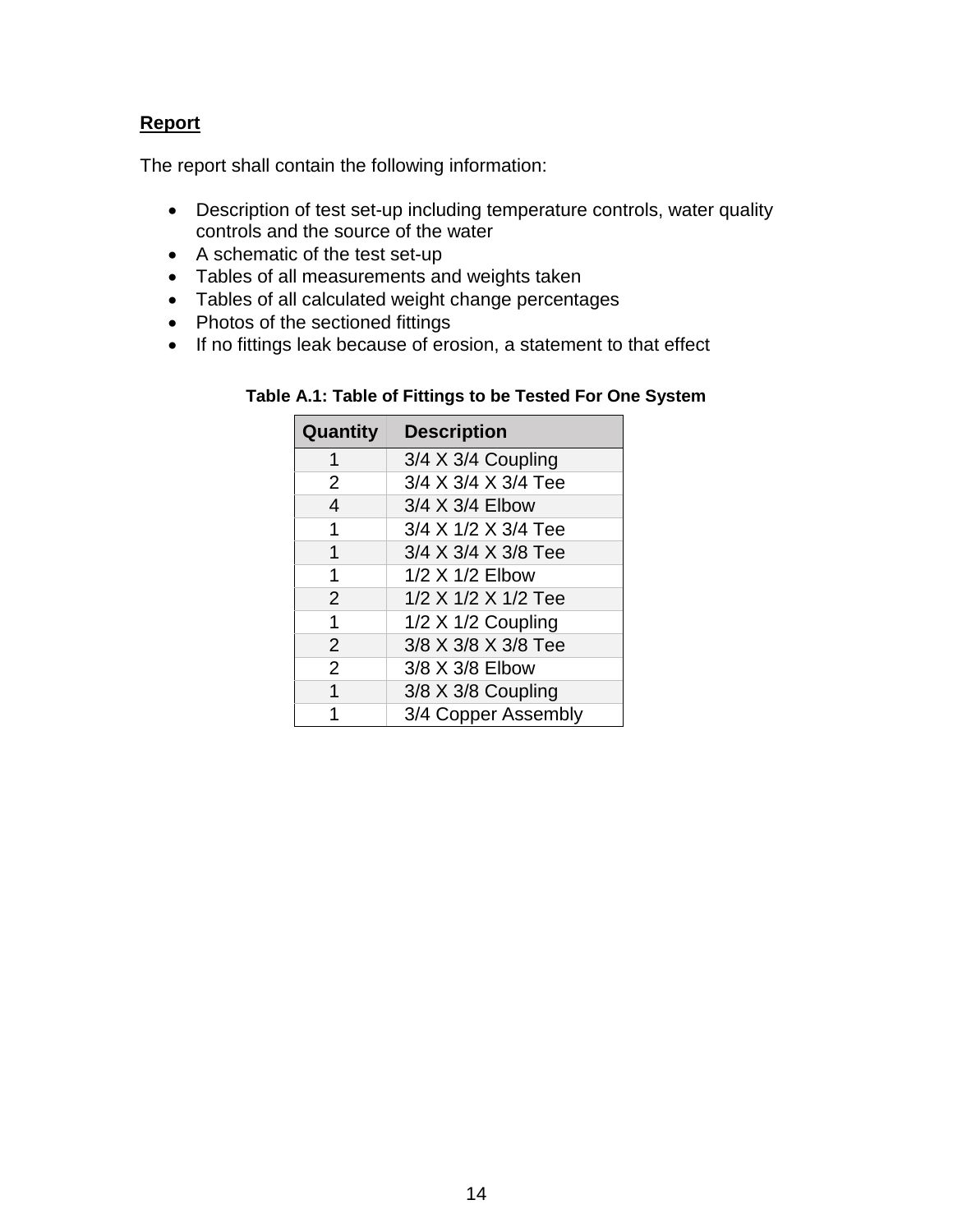#### <span id="page-16-0"></span>**Report**

The report shall contain the following information:

- Description of test set-up including temperature controls, water quality controls and the source of the water
- A schematic of the test set-up
- Tables of all measurements and weights taken
- Tables of all calculated weight change percentages
- Photos of the sectioned fittings
- If no fittings leak because of erosion, a statement to that effect

| Table A.1: Table of Fittings to be Tested For One System |  |  |
|----------------------------------------------------------|--|--|
|                                                          |  |  |

| Quantity       | <b>Description</b>  |
|----------------|---------------------|
| 1              | 3/4 X 3/4 Coupling  |
| $\overline{2}$ | 3/4 X 3/4 X 3/4 Tee |
| $\overline{4}$ | 3/4 X 3/4 Elbow     |
| 1              | 3/4 X 1/2 X 3/4 Tee |
| 1              | 3/4 X 3/4 X 3/8 Tee |
| 1              | 1/2 X 1/2 Elbow     |
| $\overline{2}$ | 1/2 X 1/2 X 1/2 Tee |
| 1              | 1/2 X 1/2 Coupling  |
| $\overline{2}$ | 3/8 X 3/8 X 3/8 Tee |
| $\overline{2}$ | 3/8 X 3/8 Elbow     |
| 1              | 3/8 X 3/8 Coupling  |
|                | 3/4 Copper Assembly |